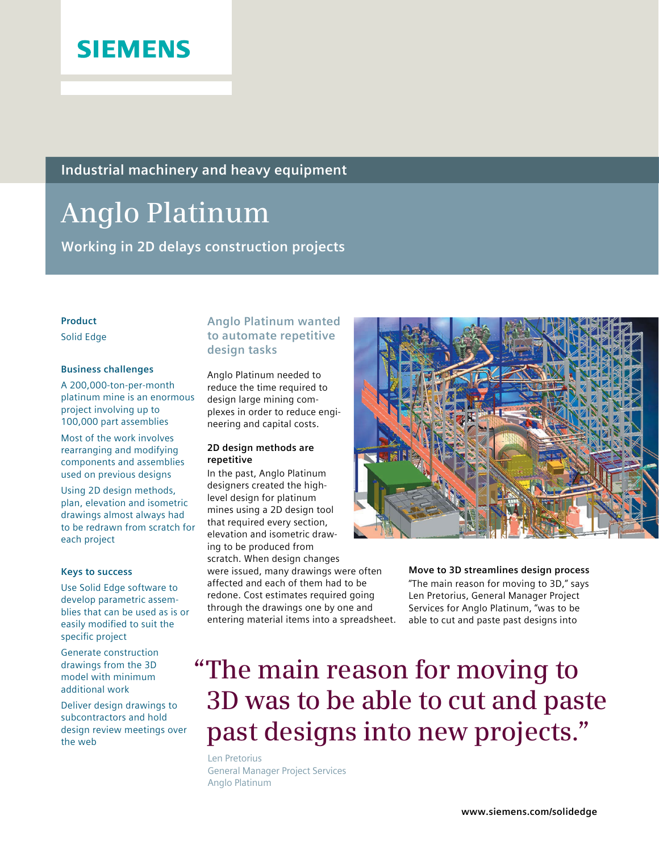

**Industrial machinery and heavy equipment**

# **Anglo Platinum**

**Working in 2D delays construction projects** 

# **Product**

Solid Edge

## **Business challenges**

A 200,000-ton-per-month platinum mine is an enormous project involving up to 100,000 part assemblies

Most of the work involves rearranging and modifying components and assemblies used on previous designs

Using 2D design methods, plan, elevation and isometric drawings almost always had to be redrawn from scratch for each project

#### **Keys to success**

Use Solid Edge software to develop parametric assemblies that can be used as is or easily modified to suit the specific project

Generate construction drawings from the 3D model with minimum additional work

Deliver design drawings to subcontractors and hold design review meetings over the web

# **Anglo Platinum wanted to automate repetitive design tasks**

Anglo Platinum needed to reduce the time required to design large mining complexes in order to reduce engineering and capital costs.

## **2D design methods are repetitive**

In the past, Anglo Platinum designers created the highlevel design for platinum mines using a 2D design tool that required every section, elevation and isometric drawing to be produced from scratch. When design changes

were issued, many drawings were often affected and each of them had to be redone. Cost estimates required going through the drawings one by one and entering material items into a spreadsheet.



**Move to 3D streamlines design process** "The main reason for moving to 3D," says Len Pretorius, General Manager Project Services for Anglo Platinum, "was to be able to cut and paste past designs into

# **"The main reason for moving to 3D was to be able to cut and paste past designs into new projects."**

Len Pretorius General Manager Project Services Anglo Platinum